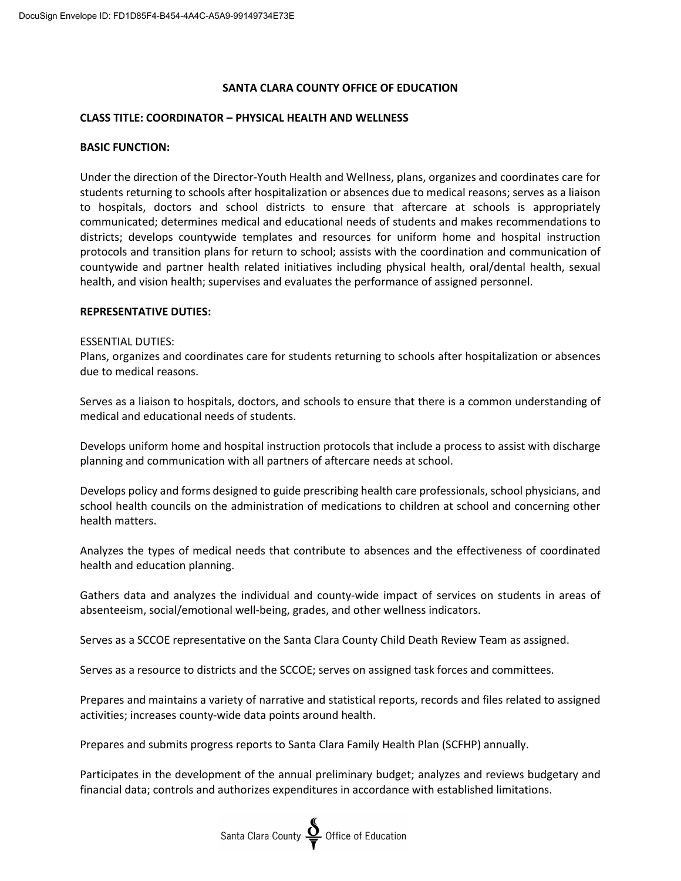# **SANTA CLARA COUNTY OFFICE OF EDUCATION**

## **CLASS TITLE: COORDINATOR – PHYSICAL HEALTH AND WELLNESS**

#### **BASIC FUNCTION:**

Under the direction of the Director-Youth Health and Wellness, plans, organizes and coordinates care for students returning to schools after hospitalization or absences due to medical reasons; serves as a liaison to hospitals, doctors and school districts to ensure that aftercare at schools is appropriately communicated; determines medical and educational needs of students and makes recommendations to districts; develops countywide templates and resources for uniform home and hospital instruction protocols and transition plans for return to school; assists with the coordination and communication of countywide and partner health related initiatives including physical health, oral/dental health, sexual health, and vision health; supervises and evaluates the performance of assigned personnel.

#### **REPRESENTATIVE DUTIES:**

#### ESSENTIAL DUTIES:

Plans, organizes and coordinates care for students returning to schools after hospitalization or absences due to medical reasons.

Serves as a liaison to hospitals, doctors, and schools to ensure that there is a common understanding of medical and educational needs of students.

Develops uniform home and hospital instruction protocols that include a process to assist with discharge planning and communication with all partners of aftercare needs at school.

Develops policy and forms designed to guide prescribing health care professionals, school physicians, and school health councils on the administration of medications to children at school and concerning other health matters.

Analyzes the types of medical needs that contribute to absences and the effectiveness of coordinated health and education planning.

Gathers data and analyzes the individual and county-wide impact of services on students in areas of absenteeism, social/emotional well-being, grades, and other wellness indicators.

Serves as a SCCOE representative on the Santa Clara County Child Death Review Team as assigned.

Serves as a resource to districts and the SCCOE; serves on assigned task forces and committees.

Prepares and maintains a variety of narrative and statistical reports, records and files related to assigned activities; increases county-wide data points around health.

Prepares and submits progress reports to Santa Clara Family Health Plan (SCFHP) annually.

Participates in the development of the annual preliminary budget; analyzes and reviews budgetary and financial data; controls and authorizes expenditures in accordance with established limitations.

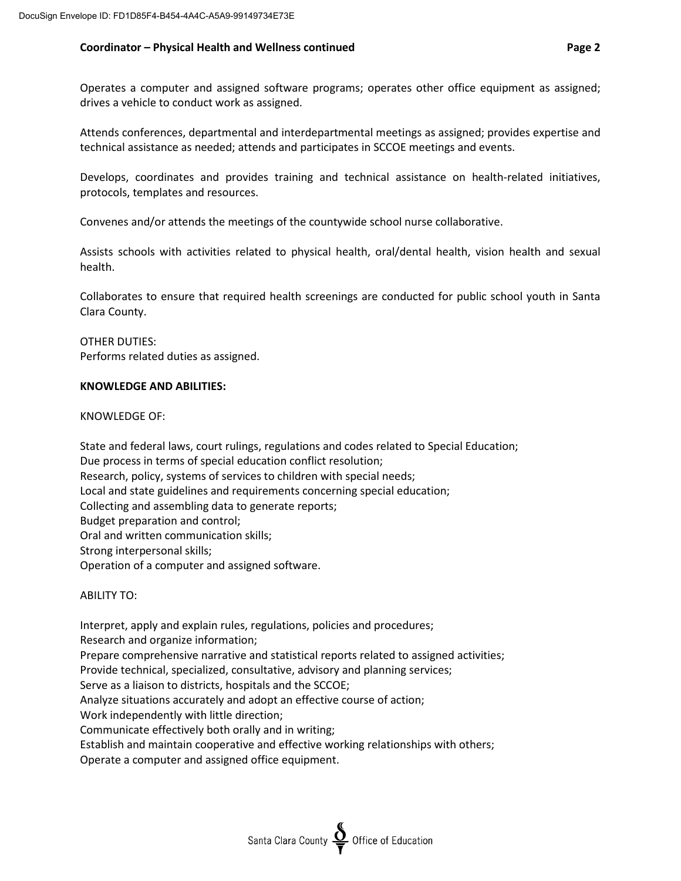## **Coordinator – Physical Health and Wellness continued Page 2**

Attends conferences, departmental and interdepartmental meetings as assigned; provides expertise and technical assistance as needed; attends and participates in SCCOE meetings and events.

Develops, coordinates and provides training and technical assistance on health-related initiatives, protocols, templates and resources.

Convenes and/or attends the meetings of the countywide school nurse collaborative.

Assists schools with activities related to physical health, oral/dental health, vision health and sexual health.

Collaborates to ensure that required health screenings are conducted for public school youth in Santa Clara County.

OTHER DUTIES: Performs related duties as assigned.

## **KNOWLEDGE AND ABILITIES:**

KNOWLEDGE OF:

State and federal laws, court rulings, regulations and codes related to Special Education; Due process in terms of special education conflict resolution; Research, policy, systems of services to children with special needs; Local and state guidelines and requirements concerning special education; Collecting and assembling data to generate reports; Budget preparation and control; Oral and written communication skills; Strong interpersonal skills; Operation of a computer and assigned software.

ABILITY TO:

Interpret, apply and explain rules, regulations, policies and procedures; Research and organize information; Prepare comprehensive narrative and statistical reports related to assigned activities; Provide technical, specialized, consultative, advisory and planning services; Serve as a liaison to districts, hospitals and the SCCOE; Analyze situations accurately and adopt an effective course of action; Work independently with little direction; Communicate effectively both orally and in writing; Establish and maintain cooperative and effective working relationships with others; Operate a computer and assigned office equipment.